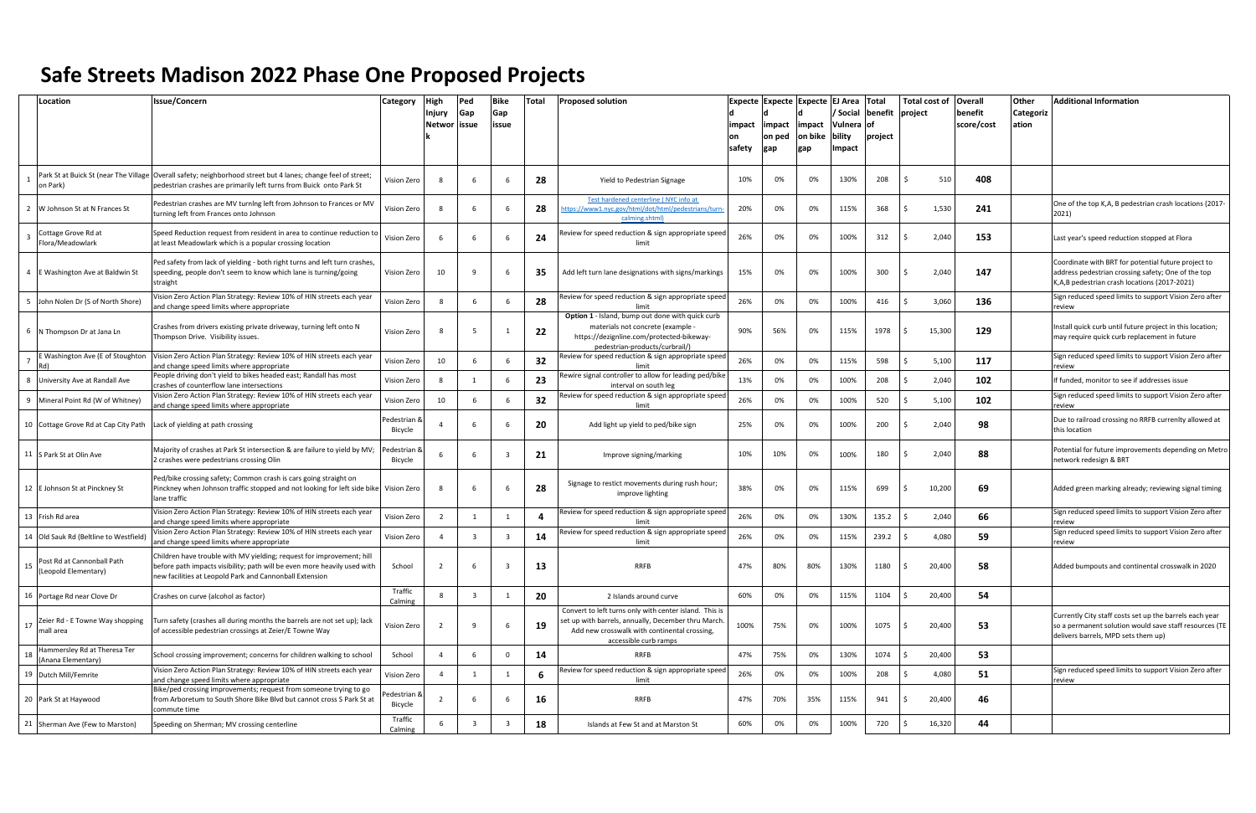|    | Location                                           | <b>Issue/Concern</b>                                                                                                                                                                                         | Category                | <b>High</b>      | Ped                     | Bike                    | Total | <b>Proposed solution</b>                                                                                                                                                               |                         | Expecte Expecte Expecte EJ Area Total |                          |                                       |                            |         |        | Total cost of   Overall | <b>Other</b>       | <b>Additional Information</b>                                                                                                                             |
|----|----------------------------------------------------|--------------------------------------------------------------------------------------------------------------------------------------------------------------------------------------------------------------|-------------------------|------------------|-------------------------|-------------------------|-------|----------------------------------------------------------------------------------------------------------------------------------------------------------------------------------------|-------------------------|---------------------------------------|--------------------------|---------------------------------------|----------------------------|---------|--------|-------------------------|--------------------|-----------------------------------------------------------------------------------------------------------------------------------------------------------|
|    |                                                    |                                                                                                                                                                                                              |                         | Injury<br>Networ | Gap<br>issue            | Gap<br>issue            |       |                                                                                                                                                                                        | impact<br>lon<br>safety | impact<br>on ped<br>gap               | impact<br>on bike<br>gap | Social<br>Vulnera<br>bility<br>Impact | benefit<br>l of<br>project | project |        | benefit<br>score/cost   | Categoriz<br>ation |                                                                                                                                                           |
|    | on Park)                                           | Park St at Buick St (near The Village   Overall safety; neighborhood street but 4 lanes; change feel of street;<br>pedestrian crashes are primarily left turns from Buick onto Park St                       | Vision Zero             | 8                | -6                      | -6                      | 28    | Yield to Pedestrian Signage                                                                                                                                                            | 10%                     | 0%                                    | 0%                       | 130%                                  | 208                        |         | 510    | 408                     |                    |                                                                                                                                                           |
|    | 2 W Johnson St at N Frances St                     | Pedestrian crashes are MV turning left from Johnson to Frances or MV<br>turning left from Frances onto Johnson                                                                                               | Vision Zero             |                  |                         | 6                       | 28    | Test hardened centerline (NYC info at<br>ttps://www1.nyc.gov/html/dot/html/pedestrians/turn<br>calming.shtml)                                                                          | 20%                     | 0%                                    | 0%                       | 115%                                  | 368                        |         | 1,530  | 241                     |                    | One of the top K,A, B pedestrian crash locations (2017-<br>2021)                                                                                          |
|    | Cottage Grove Rd at<br>Flora/Meadowlark            | Speed Reduction request from resident in area to continue reduction to<br>at least Meadowlark which is a popular crossing location                                                                           | Vision Zero             |                  | -6                      | - 6                     | 24    | Review for speed reduction & sign appropriate speed<br>limit                                                                                                                           | 26%                     | 0%                                    | 0%                       | 100%                                  | 312                        |         | 2,040  | 153                     |                    | Last year's speed reduction stopped at Flora                                                                                                              |
|    | 4 E Washington Ave at Baldwin St                   | Ped safety from lack of yielding - both right turns and left turn crashes,<br>peeding, people don't seem to know which lane is turning/going<br>straight                                                     | Vision Zero             | 10               |                         |                         | 35    | Add left turn lane designations with signs/markings                                                                                                                                    | 15%                     | 0%                                    | 0%                       | 100%                                  | 300                        |         | 2,040  | 147                     |                    | Coordinate with BRT for potential future project to<br>address pedestrian crossing safety; One of the top<br>K,A,B pedestrian crash locations (2017-2021) |
|    | 5 John Nolen Dr (S of North Shore)                 | Vision Zero Action Plan Strategy: Review 10% of HIN streets each year<br>and change speed limits where appropriate                                                                                           | Vision Zero             |                  | - 6                     | 6                       | 28    | Review for speed reduction & sign appropriate speed                                                                                                                                    | 26%                     | 0%                                    | 0%                       | 100%                                  | 416                        |         | 3,060  | 136                     |                    | Sign reduced speed limits to support Vision Zero after<br>review                                                                                          |
|    | 6   N Thompson Dr at Jana Ln                       | Crashes from drivers existing private driveway, turning left onto N<br>Thompson Drive. Visibility issues.                                                                                                    | Vision Zero             |                  |                         |                         | 22    | <b>Option 1</b> - Island, bump out done with quick curb<br>materials not concrete (example -<br>https://dezignline.com/protected-bikeway-<br>pedestrian-products/curbrail/             | 90%                     | 56%                                   | 0%                       | 115%                                  | 1978                       |         | 15,300 | 129                     |                    | Install quick curb until future project in this location;<br>may require quick curb replacement in future                                                 |
|    | E Washington Ave (E of Stoughton<br>Rd)            | Vision Zero Action Plan Strategy: Review 10% of HIN streets each year<br>and change speed limits where appropriate                                                                                           | Vision Zero             | 10               | -6                      |                         | 32    | Review for speed reduction & sign appropriate speed                                                                                                                                    | 26%                     | 0%                                    | 0%                       | 115%                                  | 598                        |         | 5,100  | 117                     |                    | Sign reduced speed limits to support Vision Zero after<br>review                                                                                          |
|    | 8 University Ave at Randall Ave                    | People driving don't yield to bikes headed east; Randall has most<br>crashes of counterflow lane intersections                                                                                               | Vision Zero             |                  |                         | 6                       | 23    | ewire signal controller to allow for leading ped/bike<br>interval on south leg                                                                                                         | 13%                     | 0%                                    | 0%                       | 100%                                  | 208                        |         | 2,040  | 102                     |                    | If funded, monitor to see if addresses issue                                                                                                              |
|    | 9 Mineral Point Rd (W of Whitney)                  | Vision Zero Action Plan Strategy: Review 10% of HIN streets each year<br>and change speed limits where appropriate                                                                                           | Vision Zero             | 10               | -6                      | 6                       | 32    | eview for speed reduction & sign appropriate speed<br>limit                                                                                                                            | 26%                     | 0%                                    | 0%                       | 100%                                  | 520                        |         | 5,100  | 102                     |                    | Sign reduced speed limits to support Vision Zero after<br>review                                                                                          |
|    | 10 Cottage Grove Rd at Cap City Path               | ack of yielding at path crossing                                                                                                                                                                             | Pedestrian &<br>Bicycle |                  |                         |                         | 20    | Add light up yield to ped/bike sign                                                                                                                                                    | 25%                     | 0%                                    | 0%                       | 100%                                  | 200                        |         | 2,040  | 98                      |                    | Due to railroad crossing no RRFB currenlty allowed at<br>this location                                                                                    |
|    | 11 S Park St at Olin Ave                           | Majority of crashes at Park St intersection & are failure to yield by MV;<br>2 crashes were pedestrians crossing Olin                                                                                        | Pedestrian &<br>Bicycle |                  | - 6                     | $\overline{3}$          | 21    | Improve signing/marking                                                                                                                                                                | 10%                     | 10%                                   | 0%                       | 100%                                  | 180                        |         | 2,040  | 88                      |                    | Potential for future improvements depending on Metro<br>network redesign & BRT                                                                            |
|    | 12 E Johnson St at Pinckney St                     | Ped/bike crossing safety; Common crash is cars going straight on<br>Pinckney when Johnson traffic stopped and not looking for left side bike<br>lane traffic                                                 | Vision Zero             |                  |                         |                         | 28    | Signage to restict movements during rush hour;<br>improve lighting                                                                                                                     | 38%                     | 0%                                    | 0%                       | 115%                                  | 699                        |         | 10,200 | 69                      |                    | Added green marking already; reviewing signal timing                                                                                                      |
|    | 13 Frish Rd area                                   | Vision Zero Action Plan Strategy: Review 10% of HIN streets each year<br>and change speed limits where appropriate                                                                                           | Vision Zero             | -2               |                         | 1                       | 4     | Review for speed reduction & sign appropriate speed<br>limi                                                                                                                            | 26%                     | 0%                                    | 0%                       | 130%                                  | 135.2                      |         | 2,040  | 66                      |                    | Sign reduced speed limits to support Vision Zero after<br>review                                                                                          |
|    | 14 Old Sauk Rd (Beltline to Westfield)             | Vision Zero Action Plan Strategy: Review 10% of HIN streets each year<br>and change speed limits where appropriate                                                                                           | Vision Zero             |                  | $\overline{\mathbf{3}}$ | $\overline{\mathbf{3}}$ | 14    | Review for speed reduction & sign appropriate speed<br>limit                                                                                                                           | 26%                     | 0%                                    | 0%                       | 115%                                  | 239.2                      |         | 4,080  | 59                      |                    | Sign reduced speed limits to support Vision Zero after<br>review                                                                                          |
| 15 | Post Rd at Cannonball Path<br>(Leopold Elementary) | Children have trouble with MV yielding; request for improvement; hill<br>before path impacts visibility; path will be even more heavily used with<br>new facilities at Leopold Park and Cannonball Extension | School                  | $\overline{2}$   | - 6                     | $\overline{\mathbf{3}}$ | 13    | <b>RRFB</b>                                                                                                                                                                            | 47%                     | 80%                                   | 80%                      | 130%                                  | 1180                       |         | 20,400 | 58                      |                    | Added bumpouts and continental crosswalk in 2020                                                                                                          |
|    | 16 Portage Rd near Clove Dr                        | Crashes on curve (alcohol as factor)                                                                                                                                                                         | Traffic<br>Calming      |                  | $\overline{\mathbf{3}}$ | 1                       | 20    | 2 Islands around curve                                                                                                                                                                 | 60%                     | 0%                                    | 0%                       | 115%                                  | 1104                       |         | 20,400 | 54                      |                    |                                                                                                                                                           |
|    | 17 Zeier Rd - E Towne Way shopping<br>mall area    | Turn safety (crashes all during months the barrels are not set up); lack<br>of accessible pedestrian crossings at Zeier/E Towne Way                                                                          | Vision Zero             |                  | -9                      | 6                       | 19    | Convert to left turns only with center island. This is<br>set up with barrels, annually, December thru March.<br>Add new crosswalk with continental crossing,<br>accessible curb ramps | 100%                    | 75%                                   | 0%                       | 100%                                  | 1075                       |         | 20,400 | 53                      |                    | Currently City staff costs set up the barrels each year<br>so a permanent solution would save staff resources (TE<br>delivers barrels, MPD sets them up)  |
| 18 | Hammersley Rd at Theresa Ter<br>(Anana Elementary) | School crossing improvement; concerns for children walking to school                                                                                                                                         | School                  |                  | - 6                     | $\mathbf 0$             | 14    | <b>RRFB</b>                                                                                                                                                                            | 47%                     | 75%                                   | 0%                       | 130%                                  | 1074                       |         | 20,400 | 53                      |                    |                                                                                                                                                           |
|    | 19 Dutch Mill/Femrite                              | Vision Zero Action Plan Strategy: Review 10% of HIN streets each year<br>and change speed limits where appropriate                                                                                           | Vision Zero             | $\overline{a}$   |                         |                         | 6     | Review for speed reduction & sign appropriate speed<br>limit                                                                                                                           | 26%                     | 0%                                    | 0%                       | 100%                                  | 208                        |         | 4,080  | 51                      |                    | Sign reduced speed limits to support Vision Zero after<br>review                                                                                          |
|    | 20 Park St at Haywood                              | Bike/ped crossing improvements; request from someone trying to go<br>from Arboretum to South Shore Bike Blvd but cannot cross S Park St at<br>commute time                                                   | edestrian &<br>Bicycle  |                  | - 6                     | 6                       | 16    | <b>RRFB</b>                                                                                                                                                                            | 47%                     | 70%                                   | 35%                      | 115%                                  | 941                        |         | 20,400 | 46                      |                    |                                                                                                                                                           |
|    | 21 Sherman Ave (Few to Marston)                    | Speeding on Sherman; MV crossing centerline                                                                                                                                                                  | Traffic<br>Calming      |                  | $\overline{\mathbf{3}}$ | $\overline{\mathbf{3}}$ | 18    | Islands at Few St and at Marston St                                                                                                                                                    | 60%                     | 0%                                    | 0%                       | 100%                                  | 720                        |         | 16,320 | 44                      |                    |                                                                                                                                                           |

## **Safe Streets Madison 2022 Phase One Proposed Projects**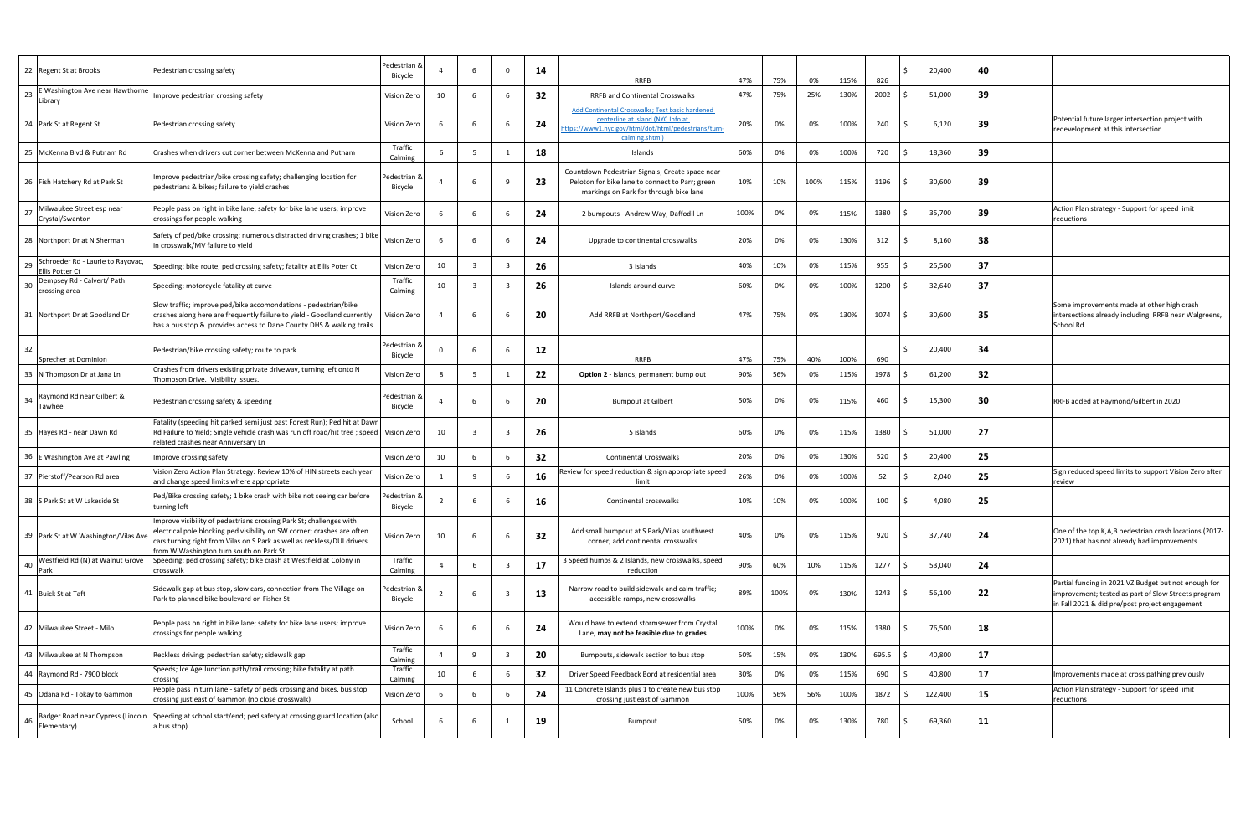| 22 Regent St at Brooks                                     | Pedestrian crossing safety                                                                                                                                                                                                                                           | Pedestrian &<br>Bicycle |    | 6                       | $\overline{\mathbf{0}}$ | 14 | <b>RRFB</b>                                                                                                                                                   | 47%  | 75%  | 0%   | 115% | 826   | 20,400  | 40 |                                                                                                                                                               |
|------------------------------------------------------------|----------------------------------------------------------------------------------------------------------------------------------------------------------------------------------------------------------------------------------------------------------------------|-------------------------|----|-------------------------|-------------------------|----|---------------------------------------------------------------------------------------------------------------------------------------------------------------|------|------|------|------|-------|---------|----|---------------------------------------------------------------------------------------------------------------------------------------------------------------|
| E Washington Ave near Hawthorne<br>23<br>Library           | Improve pedestrian crossing safety                                                                                                                                                                                                                                   | Vision Zero             | 10 | 6                       | 6                       | 32 | <b>RRFB and Continental Crosswalks</b>                                                                                                                        | 47%  | 75%  | 25%  | 130% | 2002  | 51,000  | 39 |                                                                                                                                                               |
| 24 Park St at Regent St                                    | Pedestrian crossing safety                                                                                                                                                                                                                                           | Vision Zero             |    | 6                       |                         | 24 | Add Continental Crosswalks; Test basic hardened<br>centerline at island (NYC Info at<br>ttps://www1.nyc.gov/html/dot/html/pedestrians/turn-<br>calming.shtml) | 20%  | 0%   | 0%   | 100% | 240   | 6,120   | 39 | Potential future larger intersection project with<br>redevelopment at this intersection                                                                       |
| 25 McKenna Blvd & Putnam Rd                                | Crashes when drivers cut corner between McKenna and Putnam                                                                                                                                                                                                           | Traffic<br>Calming      | -6 | 5                       | 1                       | 18 | Islands                                                                                                                                                       | 60%  | 0%   | 0%   | 100% | 720   | 18,360  | 39 |                                                                                                                                                               |
| 26 Fish Hatchery Rd at Park St                             | Improve pedestrian/bike crossing safety; challenging location for<br>pedestrians & bikes; failure to yield crashes                                                                                                                                                   | Pedestrian 8<br>Bicycle |    | - 6                     | ٩                       | 23 | Countdown Pedestrian Signals; Create space near<br>Peloton for bike lane to connect to Parr; green<br>markings on Park for through bike lane                  | 10%  | 10%  | 100% | 115% | 1196  | 30,600  | 39 |                                                                                                                                                               |
| Milwaukee Street esp near<br>-27<br>Crystal/Swanton        | People pass on right in bike lane; safety for bike lane users; improve<br>crossings for people walking                                                                                                                                                               | Vision Zero             |    | 6                       | 6                       | 24 | 2 bumpouts - Andrew Way, Daffodil Ln                                                                                                                          | 100% | 0%   | 0%   | 115% | 1380  | 35,700  | 39 | Action Plan strategy - Support for speed limit<br>reductions                                                                                                  |
| 28 Northport Dr at N Sherman                               | Safety of ped/bike crossing; numerous distracted driving crashes; 1 bike<br>in crosswalk/MV failure to yield                                                                                                                                                         | Vision Zero             |    | -6                      | -6                      | 24 | Upgrade to continental crosswalks                                                                                                                             | 20%  | 0%   | 0%   | 130% | 312   | 8,160   | 38 |                                                                                                                                                               |
| Schroeder Rd - Laurie to Rayovac,<br>29<br>Ellis Potter Ct | Speeding; bike route; ped crossing safety; fatality at Ellis Poter Ct                                                                                                                                                                                                | Vision Zero             | 10 | $\overline{\mathbf{3}}$ | $\overline{\mathbf{3}}$ | 26 | 3 Islands                                                                                                                                                     | 40%  | 10%  | 0%   | 115% | 955   | 25,500  | 37 |                                                                                                                                                               |
| Dempsey Rd - Calvert/ Path<br>crossing area                | Speeding; motorcycle fatality at curve                                                                                                                                                                                                                               | Traffic<br>Calming      | 10 |                         | 3                       | 26 | Islands around curve                                                                                                                                          | 60%  | 0%   | 0%   | 100% | 1200  | 32,640  | 37 |                                                                                                                                                               |
| 31 Northport Dr at Goodland Dr                             | Slow traffic; improve ped/bike accomondations - pedestrian/bike<br>crashes along here are frequently failure to yield - Goodland currently<br>has a bus stop & provides access to Dane County DHS & walking trails                                                   | Vision Zero             |    | - 6                     |                         | 20 | Add RRFB at Northport/Goodland                                                                                                                                | 47%  | 75%  | 0%   | 130% | 1074  | 30,600  | 35 | Some improvements made at other high crash<br>intersections already including RRFB near Walgreens,<br>School Rd                                               |
| Sprecher at Dominion                                       | Pedestrian/bike crossing safety; route to park                                                                                                                                                                                                                       | Pedestrian &<br>Bicycle |    | 6                       | 6                       | 12 | <b>RRFB</b>                                                                                                                                                   | 47%  | 75%  | 40%  | 100% | 690   | 20,400  | 34 |                                                                                                                                                               |
| 33 N Thompson Dr at Jana Ln                                | Crashes from drivers existing private driveway, turning left onto N<br>Thompson Drive. Visibility issues.                                                                                                                                                            | Vision Zero             |    | 5                       |                         | 22 | Option 2 - Islands, permanent bump out                                                                                                                        | 90%  | 56%  | 0%   | 115% | 1978  | 61,200  | 32 |                                                                                                                                                               |
| Raymond Rd near Gilbert &<br>34<br>Tawhee                  | Pedestrian crossing safety & speeding                                                                                                                                                                                                                                | ا Pedestrian<br>Bicycle |    | - 6                     | 6                       | 20 | <b>Bumpout at Gilbert</b>                                                                                                                                     | 50%  | 0%   | 0%   | 115% | 460   | 15,300  | 30 | RRFB added at Raymond/Gilbert in 2020                                                                                                                         |
| 35 Hayes Rd - near Dawn Rd                                 | Fatality (speeding hit parked semi just past Forest Run); Ped hit at Dawn<br>Rd Failure to Yield; Single vehicle crash was run off road/hit tree ; speed<br>related crashes near Anniversary Ln                                                                      | Vision Zero             | 10 | $\overline{3}$          | $\overline{\mathbf{3}}$ | 26 | 5 islands                                                                                                                                                     | 60%  | 0%   | 0%   | 115% | 1380  | 51,000  | 27 |                                                                                                                                                               |
| 36 E Washington Ave at Pawling                             | Improve crossing safety                                                                                                                                                                                                                                              | Vision Zero             | 10 | 6                       | 6                       | 32 | <b>Continental Crosswalks</b>                                                                                                                                 | 20%  | 0%   | 0%   | 130% | 520   | 20,400  | 25 |                                                                                                                                                               |
| 37 Pierstoff/Pearson Rd area                               | Vision Zero Action Plan Strategy: Review 10% of HIN streets each year<br>and change speed limits where appropriate                                                                                                                                                   | Vision Zero             |    | 9                       | -6                      | 16 | Review for speed reduction & sign appropriate speed<br>limit                                                                                                  | 26%  | 0%   | 0%   | 100% | 52    | 2,040   | 25 | Sign reduced speed limits to support Vision Zero after<br>review                                                                                              |
| 38 S Park St at W Lakeside St                              | Ped/Bike crossing safety; 1 bike crash with bike not seeing car before<br>turning left                                                                                                                                                                               | ہ edestrian<br>Bicycle  |    | 6                       | 6                       | 16 | Continental crosswalks                                                                                                                                        | 10%  | 10%  | 0%   | 100% | 100   | 4,080   | 25 |                                                                                                                                                               |
| 39 Park St at W Washington/Vilas Ave                       | Improve visibility of pedestrians crossing Park St; challenges with<br>electrical pole blocking ped visibility on SW corner; crashes are often<br>cars turning right from Vilas on S Park as well as reckless/DUI drivers<br>from W Washington turn south on Park St | Vision Zero             | 10 | -6                      | 6                       | 32 | Add small bumpout at S Park/Vilas southwest<br>corner; add continental crosswalks                                                                             | 40%  | 0%   | 0%   | 115% | 920   | 37,740  | 24 | One of the top K,A,B pedestrian crash locations (2017-<br>2021) that has not already had improvements                                                         |
| Westfield Rd (N) at Walnut Grove<br>40<br>Park             | Speeding; ped crossing safety; bike crash at Westfield at Colony in<br>crosswalk                                                                                                                                                                                     | Traffic<br>Calming      |    | 6                       | 3                       | 17 | 3 Speed humps & 2 Islands, new crosswalks, speed<br>reduction                                                                                                 | 90%  | 60%  | 10%  | 115% | 1277  | 53,040  | 24 |                                                                                                                                                               |
| 41 Buick St at Taft                                        | Sidewalk gap at bus stop, slow cars, connection from The Village on<br>Park to planned bike boulevard on Fisher St                                                                                                                                                   | Pedestrian &<br>Bicycle |    | - 6                     |                         | 13 | Narrow road to build sidewalk and calm traffic;<br>accessible ramps, new crosswalks                                                                           | 89%  | 100% | 0%   | 130% | 1243  | 56,100  | 22 | Partial funding in 2021 VZ Budget but not enough for<br>improvement; tested as part of Slow Streets program<br>in Fall 2021 & did pre/post project engagement |
| 42 Milwaukee Street - Milo                                 | People pass on right in bike lane; safety for bike lane users; improve<br>crossings for people walking                                                                                                                                                               | Vision Zero             |    | -6                      | 6                       | 24 | Would have to extend stormsewer from Crystal<br>Lane, may not be feasible due to grades                                                                       | 100% | 0%   | 0%   | 115% | 1380  | 76,500  | 18 |                                                                                                                                                               |
| 43 Milwaukee at N Thompson                                 | Reckless driving; pedestrian safety; sidewalk gap                                                                                                                                                                                                                    | Traffic<br>Calming      |    | 9                       |                         | 20 | Bumpouts, sidewalk section to bus stop                                                                                                                        | 50%  | 15%  | 0%   | 130% | 695.5 | 40,800  | 17 |                                                                                                                                                               |
| 44 Raymond Rd - 7900 block                                 | Speeds; Ice Age Junction path/trail crossing; bike fatality at path<br>crossing                                                                                                                                                                                      | Traffic<br>Calming      | 10 | - 6                     |                         | 32 | Driver Speed Feedback Bord at residential area                                                                                                                | 30%  | 0%   | 0%   | 115% | 690   | 40,800  | 17 | Improvements made at cross pathing previously                                                                                                                 |
| 45 Odana Rd - Tokay to Gammon                              | People pass in turn lane - safety of peds crossing and bikes, bus stop<br>crossing just east of Gammon (no close crosswalk)                                                                                                                                          | Vision Zero             | -6 | 6                       | 6                       | 24 | 11 Concrete Islands plus 1 to create new bus stop<br>crossing just east of Gammon                                                                             | 100% | 56%  | 56%  | 100% | 1872  | 122,400 | 15 | Action Plan strategy - Support for speed limit<br>reductions                                                                                                  |
| Badger Road near Cypress (Lincoln<br>46<br>Elementary)     | Speeding at school start/end; ped safety at crossing guard location (also<br>a bus stop)                                                                                                                                                                             | School                  |    | - 6                     |                         | 19 | Bumpout                                                                                                                                                       | 50%  | 0%   | 0%   | 130% | 780   | 69,360  | 11 |                                                                                                                                                               |